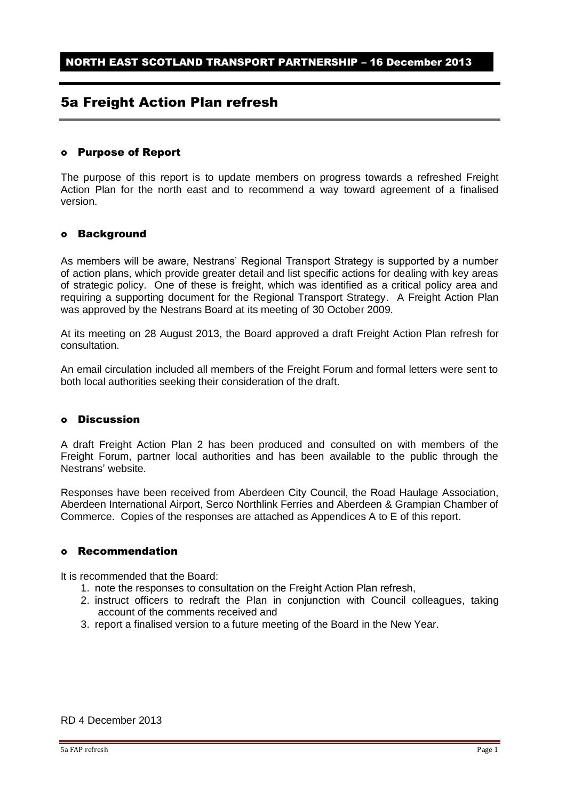### 5a Freight Action Plan refresh

#### Purpose of Report

The purpose of this report is to update members on progress towards a refreshed Freight Action Plan for the north east and to recommend a way toward agreement of a finalised version.

#### Background

As members will be aware, Nestrans' Regional Transport Strategy is supported by a number of action plans, which provide greater detail and list specific actions for dealing with key areas of strategic policy. One of these is freight, which was identified as a critical policy area and requiring a supporting document for the Regional Transport Strategy. A Freight Action Plan was approved by the Nestrans Board at its meeting of 30 October 2009.

At its meeting on 28 August 2013, the Board approved a draft Freight Action Plan refresh for consultation.

An email circulation included all members of the Freight Forum and formal letters were sent to both local authorities seeking their consideration of the draft.

#### Discussion

A draft Freight Action Plan 2 has been produced and consulted on with members of the Freight Forum, partner local authorities and has been available to the public through the Nestrans' website.

Responses have been received from Aberdeen City Council, the Road Haulage Association, Aberdeen International Airport, Serco Northlink Ferries and Aberdeen & Grampian Chamber of Commerce. Copies of the responses are attached as Appendices A to E of this report.

#### Recommendation

It is recommended that the Board:

- 1. note the responses to consultation on the Freight Action Plan refresh,
- 2. instruct officers to redraft the Plan in conjunction with Council colleagues, taking account of the comments received and
- 3. report a finalised version to a future meeting of the Board in the New Year.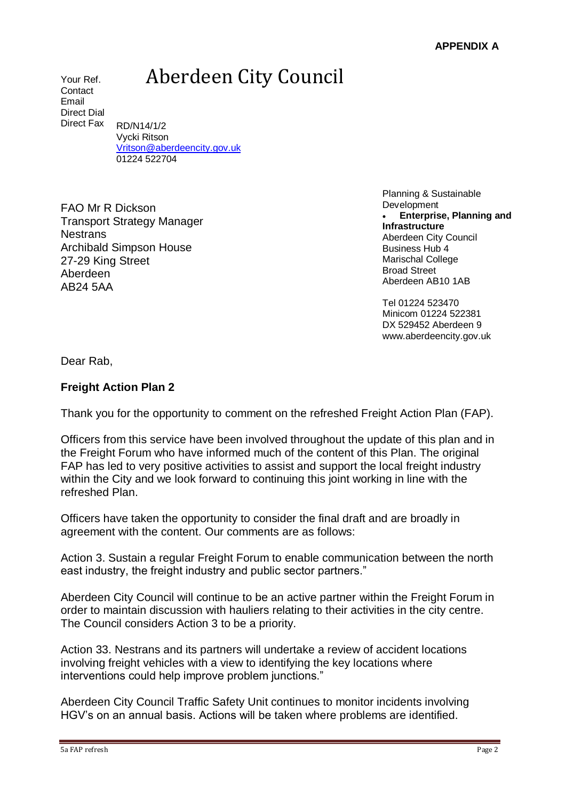# Aberdeen City Council

Your Ref. **Contact** Email Direct Dial Direct Fax

RD/N14/1/2 Vycki Ritson [Vritson@aberdeencity.gov.uk](mailto:Vritson@aberdeencity.gov.uk) 01224 522704

FAO Mr R Dickson Transport Strategy Manager **Nestrans** Archibald Simpson House 27-29 King Street Aberdeen AB24 5AA

Planning & Sustainable **Development Enterprise, Planning and Infrastructure** Aberdeen City Council Business Hub 4 Marischal College Broad Street Aberdeen AB10 1AB

Tel 01224 523470 Minicom 01224 522381 DX 529452 Aberdeen 9 [www.aberdeencity.gov.uk](http://www.aberdeencity.gov.uk/)

Dear Rab,

### **Freight Action Plan 2**

Thank you for the opportunity to comment on the refreshed Freight Action Plan (FAP).

Officers from this service have been involved throughout the update of this plan and in the Freight Forum who have informed much of the content of this Plan. The original FAP has led to very positive activities to assist and support the local freight industry within the City and we look forward to continuing this joint working in line with the refreshed Plan.

Officers have taken the opportunity to consider the final draft and are broadly in agreement with the content. Our comments are as follows:

Action 3. Sustain a regular Freight Forum to enable communication between the north east industry, the freight industry and public sector partners."

Aberdeen City Council will continue to be an active partner within the Freight Forum in order to maintain discussion with hauliers relating to their activities in the city centre. The Council considers Action 3 to be a priority.

Action 33. Nestrans and its partners will undertake a review of accident locations involving freight vehicles with a view to identifying the key locations where interventions could help improve problem junctions."

Aberdeen City Council Traffic Safety Unit continues to monitor incidents involving HGV's on an annual basis. Actions will be taken where problems are identified.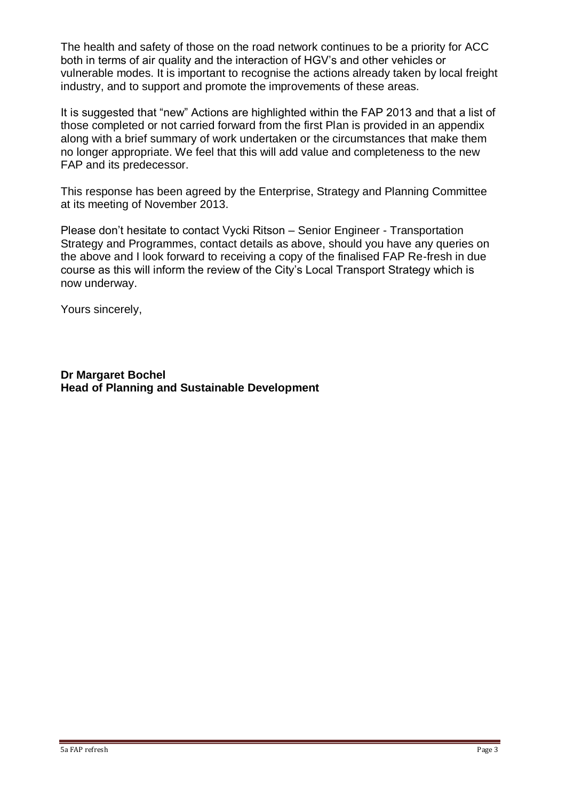The health and safety of those on the road network continues to be a priority for ACC both in terms of air quality and the interaction of HGV's and other vehicles or vulnerable modes. It is important to recognise the actions already taken by local freight industry, and to support and promote the improvements of these areas.

It is suggested that "new" Actions are highlighted within the FAP 2013 and that a list of those completed or not carried forward from the first Plan is provided in an appendix along with a brief summary of work undertaken or the circumstances that make them no longer appropriate. We feel that this will add value and completeness to the new FAP and its predecessor.

This response has been agreed by the Enterprise, Strategy and Planning Committee at its meeting of November 2013.

Please don't hesitate to contact Vycki Ritson – Senior Engineer - Transportation Strategy and Programmes, contact details as above, should you have any queries on the above and I look forward to receiving a copy of the finalised FAP Re-fresh in due course as this will inform the review of the City's Local Transport Strategy which is now underway.

Yours sincerely,

**Dr Margaret Bochel Head of Planning and Sustainable Development**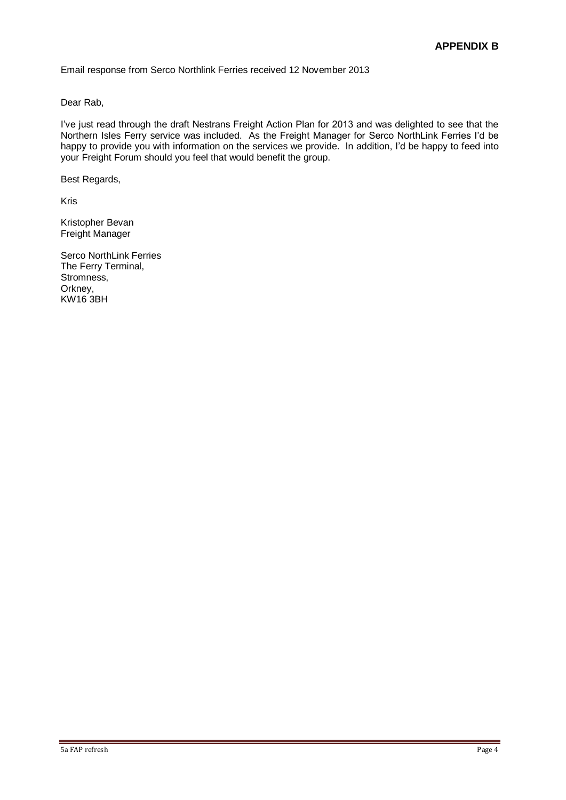Email response from Serco Northlink Ferries received 12 November 2013

Dear Rab,

I've just read through the draft Nestrans Freight Action Plan for 2013 and was delighted to see that the Northern Isles Ferry service was included. As the Freight Manager for Serco NorthLink Ferries I'd be happy to provide you with information on the services we provide. In addition, I'd be happy to feed into your Freight Forum should you feel that would benefit the group.

Best Regards,

Kris

Kristopher Bevan Freight Manager

Serco NorthLink Ferries The Ferry Terminal, Stromness, Orkney, KW16 3BH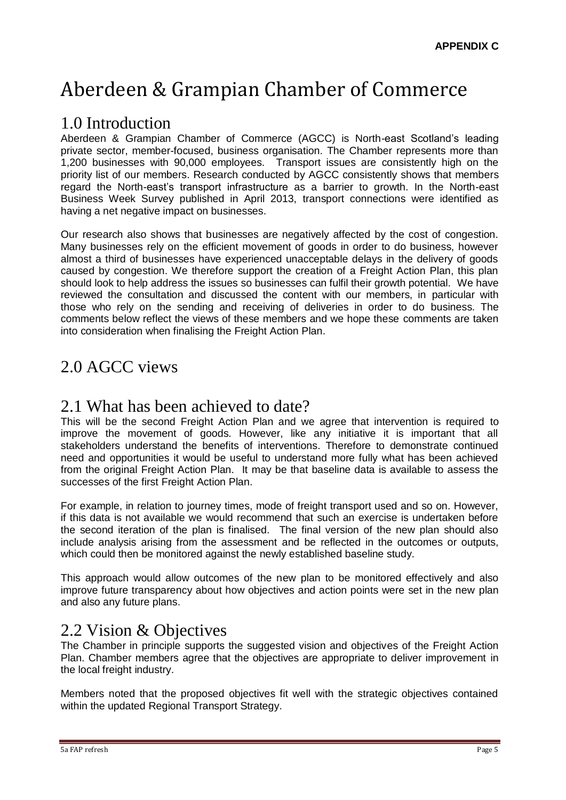# Aberdeen & Grampian Chamber of Commerce

## 1.0 Introduction

Aberdeen & Grampian Chamber of Commerce (AGCC) is North-east Scotland's leading private sector, member-focused, business organisation. The Chamber represents more than 1,200 businesses with 90,000 employees. Transport issues are consistently high on the priority list of our members. Research conducted by AGCC consistently shows that members regard the North-east's transport infrastructure as a barrier to growth. In the North-east Business Week Survey published in April 2013, transport connections were identified as having a net negative impact on businesses.

Our research also shows that businesses are negatively affected by the cost of congestion. Many businesses rely on the efficient movement of goods in order to do business, however almost a third of businesses have experienced unacceptable delays in the delivery of goods caused by congestion. We therefore support the creation of a Freight Action Plan, this plan should look to help address the issues so businesses can fulfil their growth potential. We have reviewed the consultation and discussed the content with our members, in particular with those who rely on the sending and receiving of deliveries in order to do business. The comments below reflect the views of these members and we hope these comments are taken into consideration when finalising the Freight Action Plan.

# 2.0 AGCC views

### 2.1 What has been achieved to date?

This will be the second Freight Action Plan and we agree that intervention is required to improve the movement of goods. However, like any initiative it is important that all stakeholders understand the benefits of interventions. Therefore to demonstrate continued need and opportunities it would be useful to understand more fully what has been achieved from the original Freight Action Plan. It may be that baseline data is available to assess the successes of the first Freight Action Plan.

For example, in relation to journey times, mode of freight transport used and so on. However, if this data is not available we would recommend that such an exercise is undertaken before the second iteration of the plan is finalised. The final version of the new plan should also include analysis arising from the assessment and be reflected in the outcomes or outputs, which could then be monitored against the newly established baseline study.

This approach would allow outcomes of the new plan to be monitored effectively and also improve future transparency about how objectives and action points were set in the new plan and also any future plans.

### 2.2 Vision & Objectives

The Chamber in principle supports the suggested vision and objectives of the Freight Action Plan. Chamber members agree that the objectives are appropriate to deliver improvement in the local freight industry.

Members noted that the proposed objectives fit well with the strategic objectives contained within the updated Regional Transport Strategy.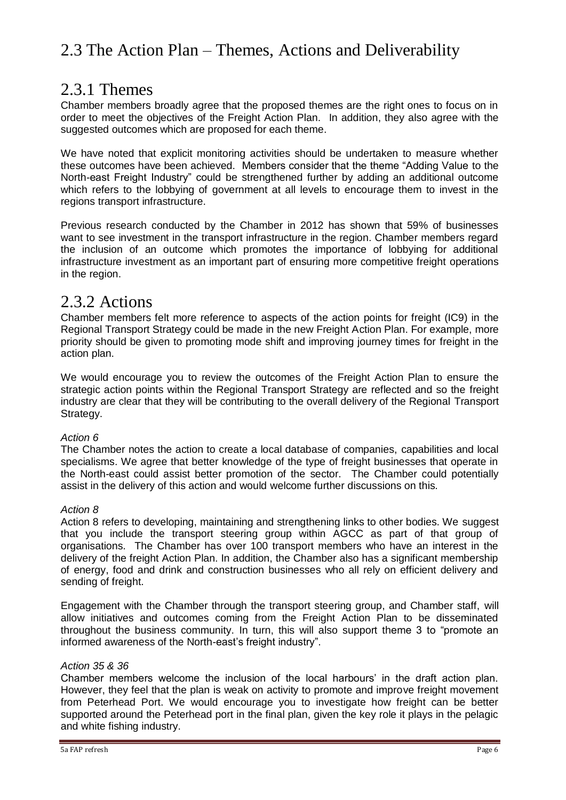# 2.3 The Action Plan – Themes, Actions and Deliverability

### 2.3.1 Themes

Chamber members broadly agree that the proposed themes are the right ones to focus on in order to meet the objectives of the Freight Action Plan. In addition, they also agree with the suggested outcomes which are proposed for each theme.

We have noted that explicit monitoring activities should be undertaken to measure whether these outcomes have been achieved. Members consider that the theme "Adding Value to the North-east Freight Industry" could be strengthened further by adding an additional outcome which refers to the lobbying of government at all levels to encourage them to invest in the regions transport infrastructure.

Previous research conducted by the Chamber in 2012 has shown that 59% of businesses want to see investment in the transport infrastructure in the region. Chamber members regard the inclusion of an outcome which promotes the importance of lobbying for additional infrastructure investment as an important part of ensuring more competitive freight operations in the region.

### 2.3.2 Actions

Chamber members felt more reference to aspects of the action points for freight (IC9) in the Regional Transport Strategy could be made in the new Freight Action Plan. For example, more priority should be given to promoting mode shift and improving journey times for freight in the action plan.

We would encourage you to review the outcomes of the Freight Action Plan to ensure the strategic action points within the Regional Transport Strategy are reflected and so the freight industry are clear that they will be contributing to the overall delivery of the Regional Transport Strategy.

### *Action 6*

The Chamber notes the action to create a local database of companies, capabilities and local specialisms. We agree that better knowledge of the type of freight businesses that operate in the North-east could assist better promotion of the sector. The Chamber could potentially assist in the delivery of this action and would welcome further discussions on this.

### *Action 8*

Action 8 refers to developing, maintaining and strengthening links to other bodies. We suggest that you include the transport steering group within AGCC as part of that group of organisations. The Chamber has over 100 transport members who have an interest in the delivery of the freight Action Plan. In addition, the Chamber also has a significant membership of energy, food and drink and construction businesses who all rely on efficient delivery and sending of freight.

Engagement with the Chamber through the transport steering group, and Chamber staff, will allow initiatives and outcomes coming from the Freight Action Plan to be disseminated throughout the business community. In turn, this will also support theme 3 to "promote an informed awareness of the North-east's freight industry".

### *Action 35 & 36*

Chamber members welcome the inclusion of the local harbours' in the draft action plan. However, they feel that the plan is weak on activity to promote and improve freight movement from Peterhead Port. We would encourage you to investigate how freight can be better supported around the Peterhead port in the final plan, given the key role it plays in the pelagic and white fishing industry.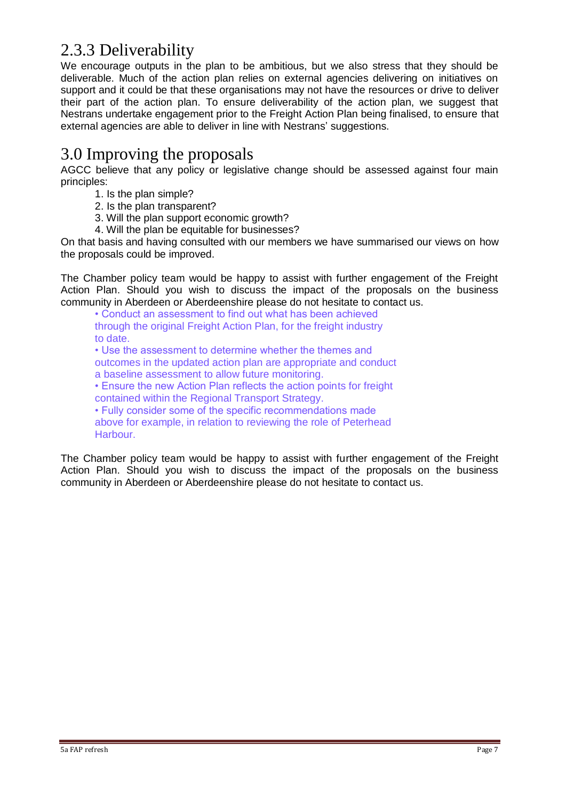## 2.3.3 Deliverability

We encourage outputs in the plan to be ambitious, but we also stress that they should be deliverable. Much of the action plan relies on external agencies delivering on initiatives on support and it could be that these organisations may not have the resources or drive to deliver their part of the action plan. To ensure deliverability of the action plan, we suggest that Nestrans undertake engagement prior to the Freight Action Plan being finalised, to ensure that external agencies are able to deliver in line with Nestrans' suggestions.

## 3.0 Improving the proposals

AGCC believe that any policy or legislative change should be assessed against four main principles:

- 1. Is the plan simple?
- 2. Is the plan transparent?
- 3. Will the plan support economic growth?
- 4. Will the plan be equitable for businesses?

On that basis and having consulted with our members we have summarised our views on how the proposals could be improved.

The Chamber policy team would be happy to assist with further engagement of the Freight Action Plan. Should you wish to discuss the impact of the proposals on the business community in Aberdeen or Aberdeenshire please do not hesitate to contact us.

• Conduct an assessment to find out what has been achieved through the original Freight Action Plan, for the freight industry to date. • Use the assessment to determine whether the themes and outcomes in the updated action plan are appropriate and conduct a baseline assessment to allow future monitoring. • Ensure the new Action Plan reflects the action points for freight contained within the Regional Transport Strategy. • Fully consider some of the specific recommendations made above for example, in relation to reviewing the role of Peterhead Harbour.

The Chamber policy team would be happy to assist with further engagement of the Freight Action Plan. Should you wish to discuss the impact of the proposals on the business community in Aberdeen or Aberdeenshire please do not hesitate to contact us.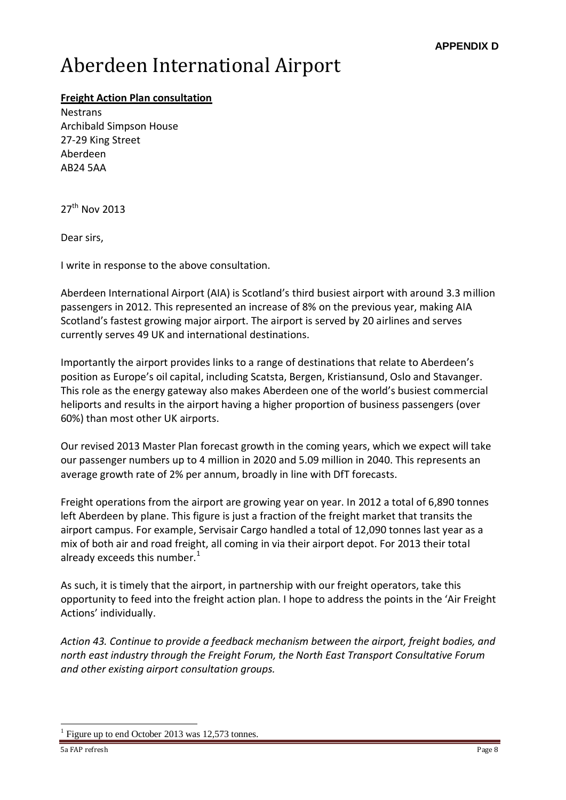# Aberdeen International Airport

### **Freight Action Plan consultation**

**Nestrans** Archibald Simpson House 27-29 King Street Aberdeen AB24 5AA

27<sup>th</sup> Nov 2013

Dear sirs,

I write in response to the above consultation.

Aberdeen International Airport (AIA) is Scotland's third busiest airport with around 3.3 million passengers in 2012. This represented an increase of 8% on the previous year, making AIA Scotland's fastest growing major airport. The airport is served by 20 airlines and serves currently serves 49 UK and international destinations.

Importantly the airport provides links to a range of destinations that relate to Aberdeen's position as Europe's oil capital, including Scatsta, Bergen, Kristiansund, Oslo and Stavanger. This role as the energy gateway also makes Aberdeen one of the world's busiest commercial heliports and results in the airport having a higher proportion of business passengers (over 60%) than most other UK airports.

Our revised 2013 Master Plan forecast growth in the coming years, which we expect will take our passenger numbers up to 4 million in 2020 and 5.09 million in 2040. This represents an average growth rate of 2% per annum, broadly in line with DfT forecasts.

Freight operations from the airport are growing year on year. In 2012 a total of 6,890 tonnes left Aberdeen by plane. This figure is just a fraction of the freight market that transits the airport campus. For example, Servisair Cargo handled a total of 12,090 tonnes last year as a mix of both air and road freight, all coming in via their airport depot. For 2013 their total already exceeds this number. $1$ 

As such, it is timely that the airport, in partnership with our freight operators, take this opportunity to feed into the freight action plan. I hope to address the points in the 'Air Freight Actions' individually.

*Action 43. Continue to provide a feedback mechanism between the airport, freight bodies, and north east industry through the Freight Forum, the North East Transport Consultative Forum and other existing airport consultation groups.* 

 $\overline{a}$ 

<sup>1</sup> Figure up to end October 2013 was 12,573 tonnes.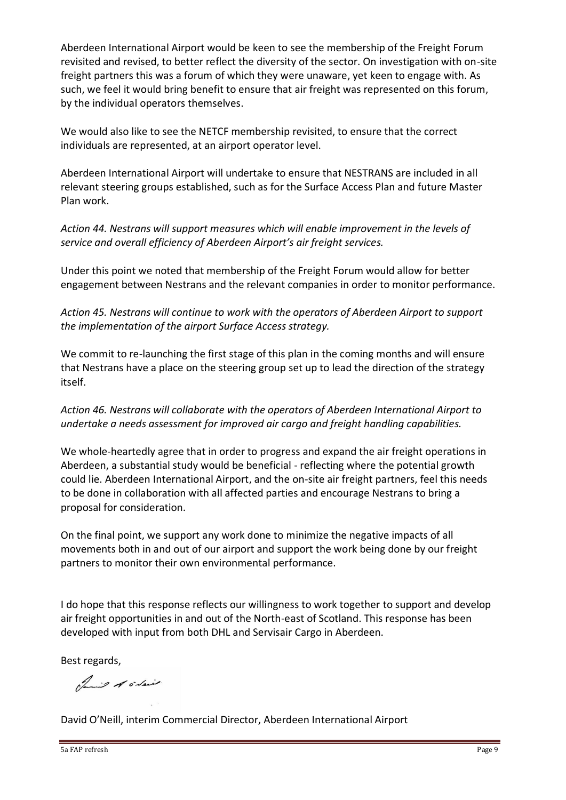Aberdeen International Airport would be keen to see the membership of the Freight Forum revisited and revised, to better reflect the diversity of the sector. On investigation with on-site freight partners this was a forum of which they were unaware, yet keen to engage with. As such, we feel it would bring benefit to ensure that air freight was represented on this forum, by the individual operators themselves.

We would also like to see the NETCF membership revisited, to ensure that the correct individuals are represented, at an airport operator level.

Aberdeen International Airport will undertake to ensure that NESTRANS are included in all relevant steering groups established, such as for the Surface Access Plan and future Master Plan work.

*Action 44. Nestrans will support measures which will enable improvement in the levels of service and overall efficiency of Aberdeen Airport's air freight services.* 

Under this point we noted that membership of the Freight Forum would allow for better engagement between Nestrans and the relevant companies in order to monitor performance.

*Action 45. Nestrans will continue to work with the operators of Aberdeen Airport to support the implementation of the airport Surface Access strategy.* 

We commit to re-launching the first stage of this plan in the coming months and will ensure that Nestrans have a place on the steering group set up to lead the direction of the strategy itself.

*Action 46. Nestrans will collaborate with the operators of Aberdeen International Airport to undertake a needs assessment for improved air cargo and freight handling capabilities.* 

We whole-heartedly agree that in order to progress and expand the air freight operations in Aberdeen, a substantial study would be beneficial - reflecting where the potential growth could lie. Aberdeen International Airport, and the on-site air freight partners, feel this needs to be done in collaboration with all affected parties and encourage Nestrans to bring a proposal for consideration.

On the final point, we support any work done to minimize the negative impacts of all movements both in and out of our airport and support the work being done by our freight partners to monitor their own environmental performance.

I do hope that this response reflects our willingness to work together to support and develop air freight opportunities in and out of the North-east of Scotland. This response has been developed with input from both DHL and Servisair Cargo in Aberdeen.

Best regards,

of it order

David O'Neill, interim Commercial Director, Aberdeen International Airport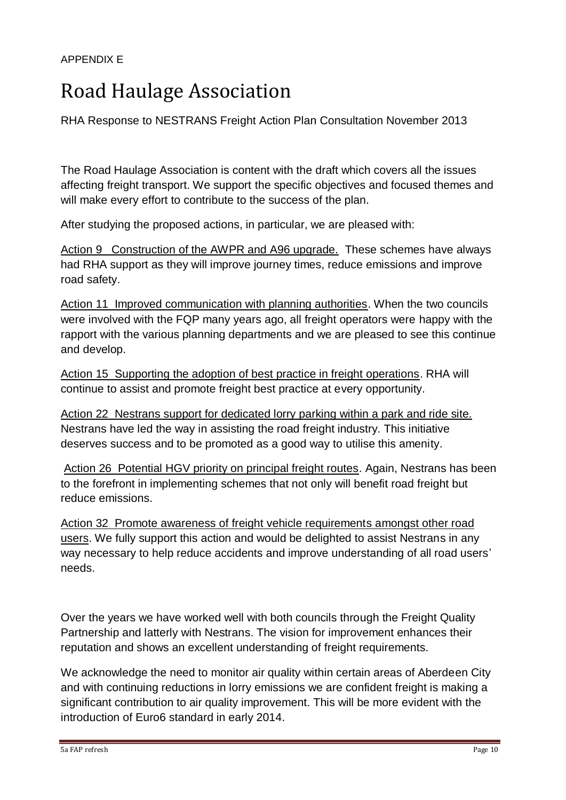# Road Haulage Association

RHA Response to NESTRANS Freight Action Plan Consultation November 2013

The Road Haulage Association is content with the draft which covers all the issues affecting freight transport. We support the specific objectives and focused themes and will make every effort to contribute to the success of the plan.

After studying the proposed actions, in particular, we are pleased with:

Action 9 Construction of the AWPR and A96 upgrade. These schemes have always had RHA support as they will improve journey times, reduce emissions and improve road safety.

Action 11 Improved communication with planning authorities. When the two councils were involved with the FQP many years ago, all freight operators were happy with the rapport with the various planning departments and we are pleased to see this continue and develop.

Action 15 Supporting the adoption of best practice in freight operations. RHA will continue to assist and promote freight best practice at every opportunity.

Action 22 Nestrans support for dedicated lorry parking within a park and ride site. Nestrans have led the way in assisting the road freight industry. This initiative deserves success and to be promoted as a good way to utilise this amenity.

Action 26 Potential HGV priority on principal freight routes. Again, Nestrans has been to the forefront in implementing schemes that not only will benefit road freight but reduce emissions.

Action 32 Promote awareness of freight vehicle requirements amongst other road users. We fully support this action and would be delighted to assist Nestrans in any way necessary to help reduce accidents and improve understanding of all road users' needs.

Over the years we have worked well with both councils through the Freight Quality Partnership and latterly with Nestrans. The vision for improvement enhances their reputation and shows an excellent understanding of freight requirements.

We acknowledge the need to monitor air quality within certain areas of Aberdeen City and with continuing reductions in lorry emissions we are confident freight is making a significant contribution to air quality improvement. This will be more evident with the introduction of Euro6 standard in early 2014.